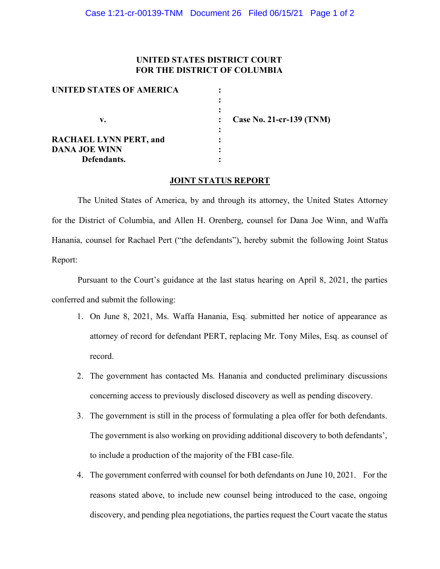## **UNITED STATES DISTRICT COURT FOR THE DISTRICT OF COLUMBIA**

| UNITED STATES OF AMERICA      |                            |
|-------------------------------|----------------------------|
|                               |                            |
| v.                            | Case No. 21-cr-139 $(TNM)$ |
| <b>RACHAEL LYNN PERT, and</b> |                            |
| <b>DANA JOE WINN</b>          |                            |
| Defendants.                   |                            |

## **JOINT STATUS REPORT**

The United States of America, by and through its attorney, the United States Attorney for the District of Columbia, and Allen H. Orenberg, counsel for Dana Joe Winn, and Waffa Hanania, counsel for Rachael Pert ("the defendants"), hereby submit the following Joint Status Report:

Pursuant to the Court's guidance at the last status hearing on April 8, 2021, the parties conferred and submit the following:

- 1. On June 8, 2021, Ms. Waffa Hanania, Esq. submitted her notice of appearance as attorney of record for defendant PERT, replacing Mr. Tony Miles, Esq. as counsel of record.
- 2. The government has contacted Ms. Hanania and conducted preliminary discussions concerning access to previously disclosed discovery as well as pending discovery.
- 3. The government is still in the process of formulating a plea offer for both defendants. The government is also working on providing additional discovery to both defendants', to include a production of the majority of the FBI case-file.
- 4. The government conferred with counsel for both defendants on June 10, 2021. For the reasons stated above, to include new counsel being introduced to the case, ongoing discovery, and pending plea negotiations, the parties request the Court vacate the status